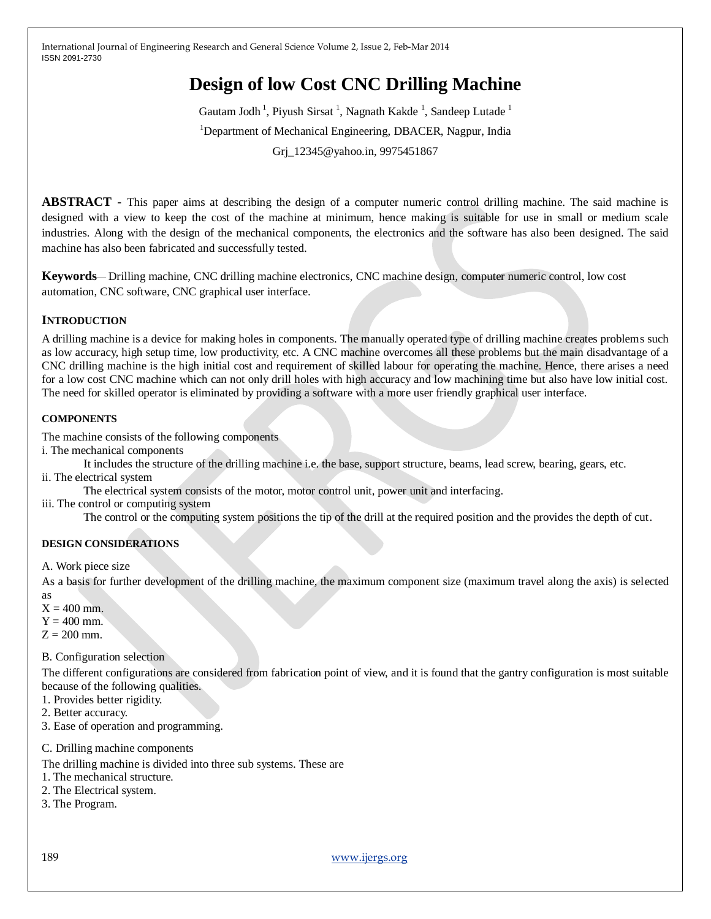# **Design of low Cost CNC Drilling Machine**

Gautam Jodh<sup>1</sup>, Piyush Sirsat<sup>1</sup>, Nagnath Kakde<sup>1</sup>, Sandeep Lutade<sup>1</sup> <sup>1</sup>Department of Mechanical Engineering, DBACER, Nagpur, India Grj\_12345@yahoo.in, 9975451867

**ABSTRACT -** This paper aims at describing the design of a computer numeric control drilling machine. The said machine is designed with a view to keep the cost of the machine at minimum, hence making is suitable for use in small or medium scale industries. Along with the design of the mechanical components, the electronics and the software has also been designed. The said machine has also been fabricated and successfully tested.

**Keywords**— Drilling machine, CNC drilling machine electronics, CNC machine design, computer numeric control, low cost automation, CNC software, CNC graphical user interface.

# **INTRODUCTION**

A drilling machine is a device for making holes in components. The manually operated type of drilling machine creates problems such as low accuracy, high setup time, low productivity, etc. A CNC machine overcomes all these problems but the main disadvantage of a CNC drilling machine is the high initial cost and requirement of skilled labour for operating the machine. Hence, there arises a need for a low cost CNC machine which can not only drill holes with high accuracy and low machining time but also have low initial cost. The need for skilled operator is eliminated by providing a software with a more user friendly graphical user interface.

# **COMPONENTS**

The machine consists of the following components

i. The mechanical components

It includes the structure of the drilling machine i.e. the base, support structure, beams, lead screw, bearing, gears, etc. ii. The electrical system

The electrical system consists of the motor, motor control unit, power unit and interfacing.

iii. The control or computing system

The control or the computing system positions the tip of the drill at the required position and the provides the depth of cut.

# **DESIGN CONSIDERATIONS**

A. Work piece size

As a basis for further development of the drilling machine, the maximum component size (maximum travel along the axis) is selected as

- $X = 400$  mm.
- $Y = 400$  mm.
- $Z = 200$  mm.

# B. Configuration selection

The different configurations are considered from fabrication point of view, and it is found that the gantry configuration is most suitable because of the following qualities.

- 1. Provides better rigidity.
- 2. Better accuracy.
- 3. Ease of operation and programming.

# C. Drilling machine components

- The drilling machine is divided into three sub systems. These are
- 1. The mechanical structure.
- 2. The Electrical system.
- 3. The Program.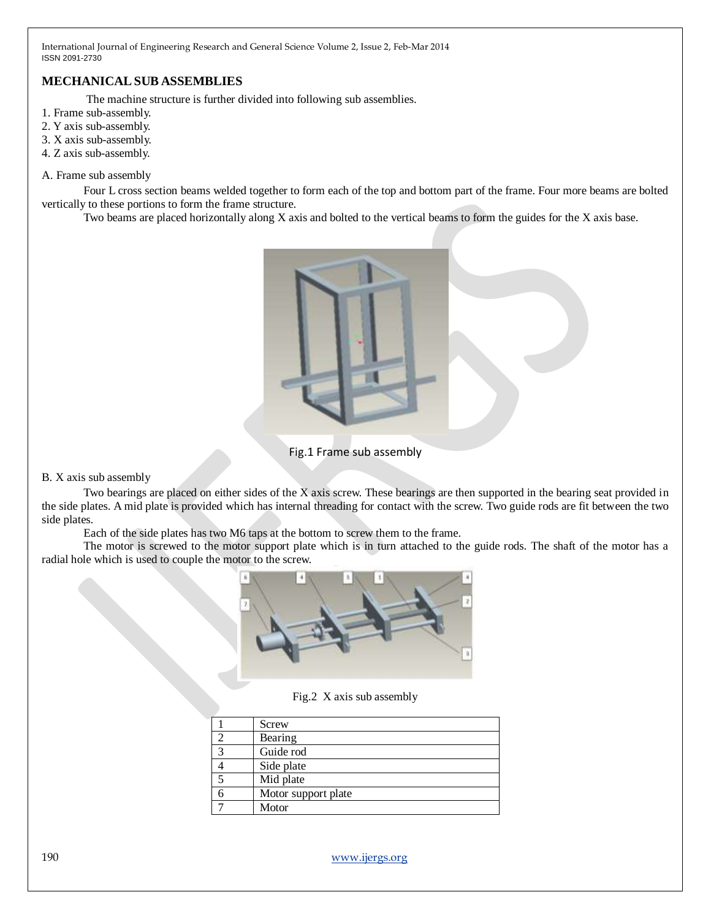# **MECHANICALSUB ASSEMBLIES**

The machine structure is further divided into following sub assemblies.

- 1. Frame sub-assembly.
- 2. Y axis sub-assembly.
- 3. X axis sub-assembly.
- 4. Z axis sub-assembly.

## A. Frame sub assembly

Four L cross section beams welded together to form each of the top and bottom part of the frame. Four more beams are bolted vertically to these portions to form the frame structure.

Two beams are placed horizontally along X axis and bolted to the vertical beams to form the guides for the X axis base.



Fig.1 Frame sub assembly

B. X axis sub assembly

Two bearings are placed on either sides of the X axis screw. These bearings are then supported in the bearing seat provided in the side plates. A mid plate is provided which has internal threading for contact with the screw. Two guide rods are fit between the two side plates.

Each of the side plates has two M6 taps at the bottom to screw them to the frame.

The motor is screwed to the motor support plate which is in turn attached to the guide rods. The shaft of the motor has a radial hole which is used to couple the motor to the screw.



Fig.2 X axis sub assembly

|              | Screw               |
|--------------|---------------------|
|              | Bearing             |
| $\mathbf{z}$ | Guide rod           |
|              | Side plate          |
|              | Mid plate           |
|              | Motor support plate |
|              | Motor               |

190 [www.ijergs.org](http://www.ijergs.org/)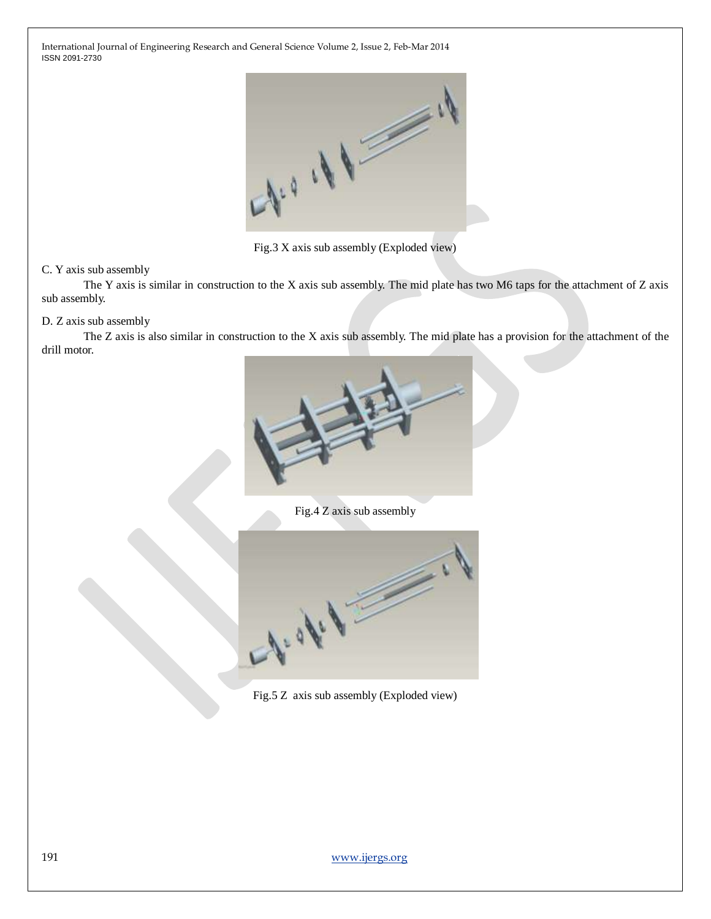

Fig.3 X axis sub assembly (Exploded view)

# C. Y axis sub assembly

The Y axis is similar in construction to the X axis sub assembly. The mid plate has two M6 taps for the attachment of Z axis sub assembly.

## D. Z axis sub assembly

The Z axis is also similar in construction to the X axis sub assembly. The mid plate has a provision for the attachment of the drill motor.



Fig.4 Z axis sub assembly



Fig.5 Z axis sub assembly (Exploded view)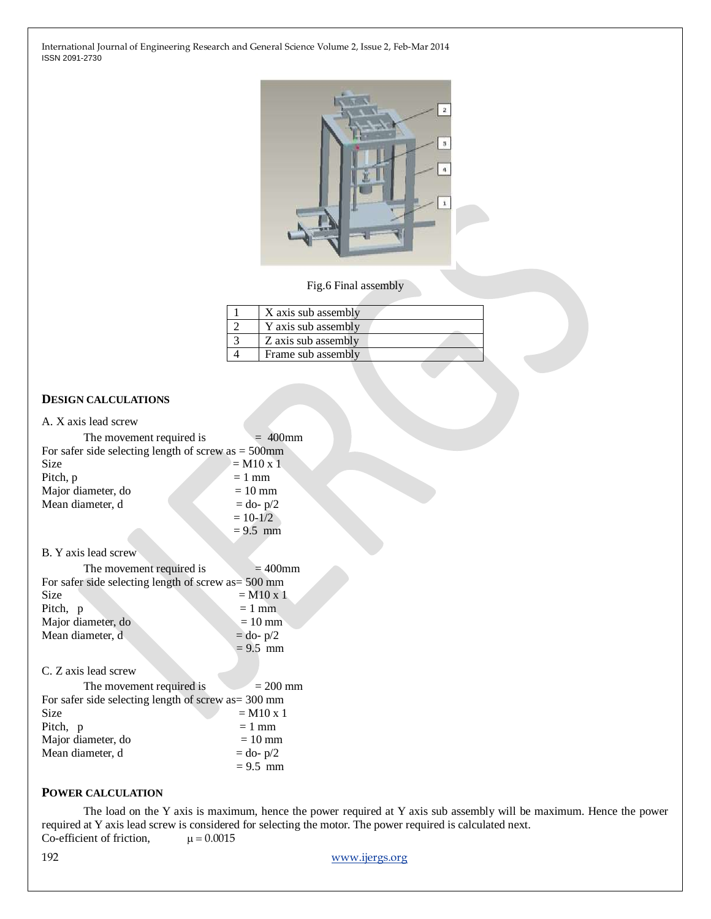

## Fig.6 Final assembly

| X axis sub assembly |
|---------------------|
| Y axis sub assembly |
| Z axis sub assembly |
| Frame sub assembly  |

# **DESIGN CALCULATIONS**

| A. X axis lead screw                                   |                         |  |  |  |
|--------------------------------------------------------|-------------------------|--|--|--|
| The movement required is                               | $400$ mm                |  |  |  |
| For safer side selecting length of screw as $=$ 500mm  |                         |  |  |  |
| Size                                                   | $=$ M10 x 1             |  |  |  |
| Pitch, p                                               | $= 1$ mm                |  |  |  |
| Major diameter, do                                     | $=10$ mm                |  |  |  |
| Mean diameter, d                                       | $=$ do- $p/2$           |  |  |  |
|                                                        | $= 10 - 1/2$            |  |  |  |
|                                                        | $= 9.5$ mm              |  |  |  |
| B. Y axis lead screw                                   |                         |  |  |  |
| The movement required is                               | $=400$ mm               |  |  |  |
| For safer side selecting length of screw as $=$ 500 mm |                         |  |  |  |
| Size                                                   | $=$ M <sub>10</sub> x 1 |  |  |  |
| Pitch, p                                               | $= 1$ mm                |  |  |  |
| Major diameter, do                                     | $= 10$ mm               |  |  |  |
| Mean diameter, d                                       | $=$ do- $p/2$           |  |  |  |
|                                                        | $= 9.5$ mm              |  |  |  |
| C. Z axis lead screw                                   |                         |  |  |  |
| The movement required is                               | $= 200$ mm              |  |  |  |
| For safer side selecting length of screw as $=$ 300 mm |                         |  |  |  |
| Size                                                   | $=$ M10 x 1             |  |  |  |
| Pitch, p                                               | $= 1$ mm                |  |  |  |
| Major diameter, do                                     | $=10$ mm                |  |  |  |
| Mean diameter, d                                       | $=$ do- $p/2$           |  |  |  |
|                                                        | $= 9.5$ mm              |  |  |  |

# **POWER CALCULATION**

The load on the Y axis is maximum, hence the power required at Y axis sub assembly will be maximum. Hence the power required at Y axis lead screw is considered for selecting the motor. The power required is calculated next.<br>Co-efficient of friction,  $\mu = 0.0015$ Co-efficient of friction,

192 [www.ijergs.org](http://www.ijergs.org/)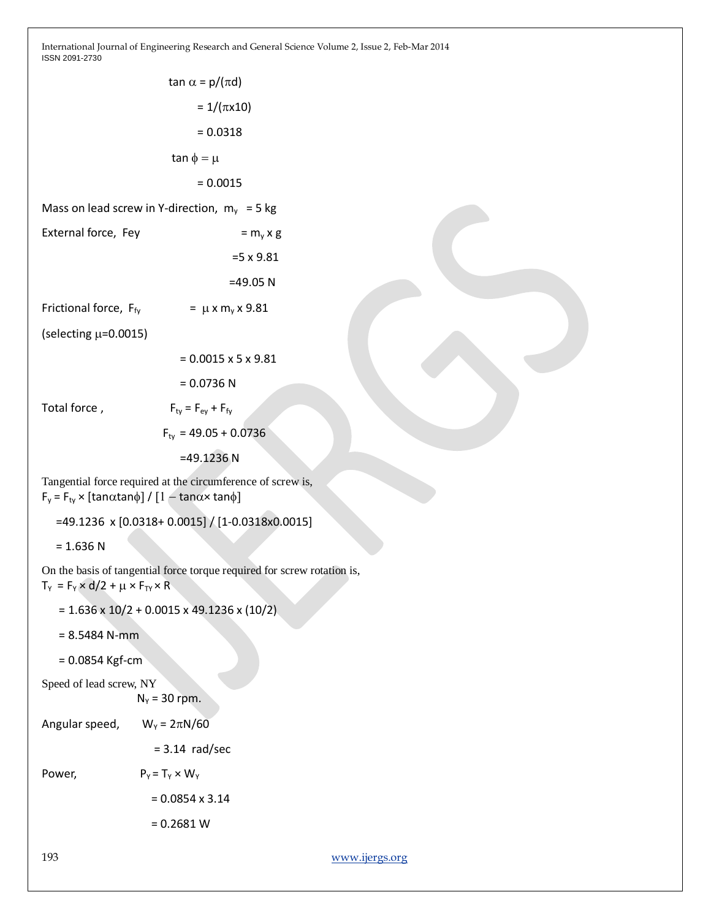|                                                                                                                                                   | tan $\alpha$ = p/( $\pi$ d)      |  |  |  |
|---------------------------------------------------------------------------------------------------------------------------------------------------|----------------------------------|--|--|--|
|                                                                                                                                                   | $= 1/(\pi x 10)$                 |  |  |  |
|                                                                                                                                                   | $= 0.0318$                       |  |  |  |
|                                                                                                                                                   | $tan \phi = \mu$                 |  |  |  |
|                                                                                                                                                   | $= 0.0015$                       |  |  |  |
| Mass on lead screw in Y-direction, $m_v = 5$ kg                                                                                                   |                                  |  |  |  |
| External force, Fey                                                                                                                               | $= m_v x g$                      |  |  |  |
|                                                                                                                                                   | $=5 \times 9.81$                 |  |  |  |
|                                                                                                                                                   | $=49.05 N$                       |  |  |  |
| Frictional force, F <sub>fv</sub>                                                                                                                 | $= \mu x m_v x 9.81$             |  |  |  |
| (selecting $\mu$ =0.0015)                                                                                                                         |                                  |  |  |  |
|                                                                                                                                                   | $= 0.0015 \times 5 \times 9.81$  |  |  |  |
|                                                                                                                                                   | $= 0.0736 N$                     |  |  |  |
| Total force,                                                                                                                                      | $F_{tv} = F_{ev} + F_{fv}$       |  |  |  |
|                                                                                                                                                   | $F_{\text{tv}} = 49.05 + 0.0736$ |  |  |  |
|                                                                                                                                                   | $=49.1236$ N                     |  |  |  |
| Tangential force required at the circumference of screw is,<br>$F_y = F_{ty} \times [\tan \alpha \tan \phi] / [1 - \tan \alpha \times \tan \phi]$ |                                  |  |  |  |
| $=$ 49.1236 x [0.0318+ 0.0015] / [1-0.0318x0.0015]                                                                                                |                                  |  |  |  |

 $= 1.636 N$ 

On the basis of tangential force torque required for screw rotation is,  $T_Y = F_Y \times d/2 + \mu \times F_{TY} \times R$ 

- $= 1.636 \times 10/2 + 0.0015 \times 49.1236 \times (10/2)$
- = 8.5484 N-mm

```
 = 0.0854 Kgf-cm
```

```
Speed of lead screw, NY
       N_Y = 30 rpm.
```

| Angular speed, | $W_Y = 2\pi N/60$ |
|----------------|-------------------|
|                |                   |

= 3.14 rad/sec

Power,  $P_Y = T_Y \times W_Y$ 

 = 0.0854 x 3.14  $= 0.2681 W$ 

193 [www.ijergs.org](http://www.ijergs.org/)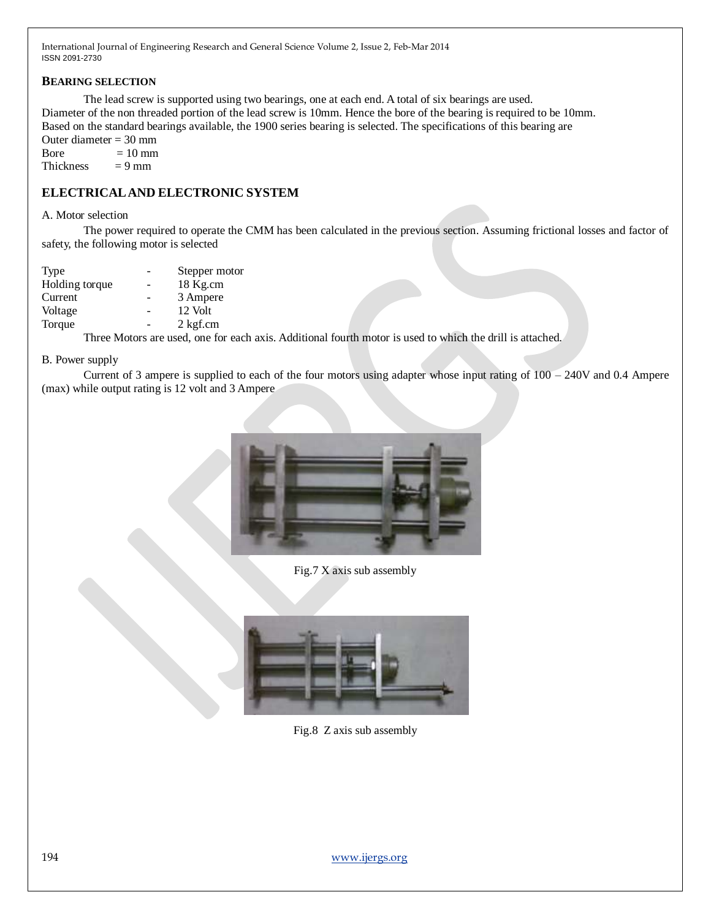## **BEARING SELECTION**

The lead screw is supported using two bearings, one at each end. A total of six bearings are used. Diameter of the non threaded portion of the lead screw is 10mm. Hence the bore of the bearing is required to be 10mm. Based on the standard bearings available, the 1900 series bearing is selected. The specifications of this bearing are

Outer diameter = 30 mm Bore  $= 10$  mm

Thickness  $= 9$  mm

# **ELECTRICALAND ELECTRONIC SYSTEM**

#### A. Motor selection

The power required to operate the CMM has been calculated in the previous section. Assuming frictional losses and factor of safety, the following motor is selected

| Type           |   | Stepper motor |
|----------------|---|---------------|
| Holding torque | ۰ | 18 Kg.cm      |
| Current        |   | 3 Ampere      |
| Voltage        |   | 12 Volt       |
| Torque         |   | 2 kgf.cm      |

Three Motors are used, one for each axis. Additional fourth motor is used to which the drill is attached.

#### B. Power supply

Current of 3 ampere is supplied to each of the four motors using adapter whose input rating of 100 – 240V and 0.4 Ampere (max) while output rating is 12 volt and 3 Ampere



Fig.7 X axis sub assembly



Fig.8 Z axis sub assembly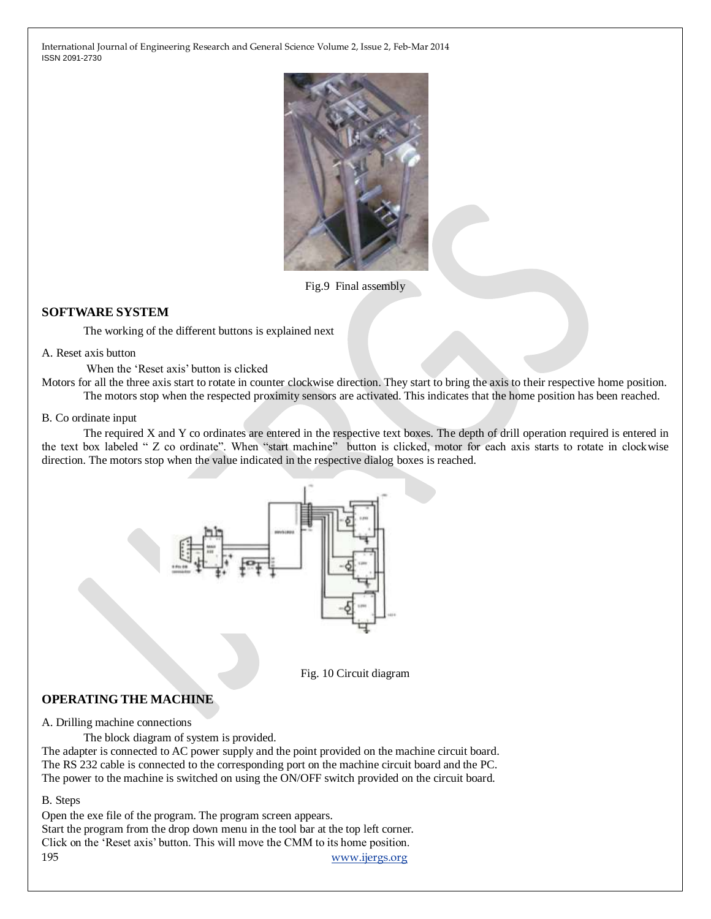

Fig.9 Final assembly

# **SOFTWARE SYSTEM**

The working of the different buttons is explained next

#### A. Reset axis button

When the 'Reset axis' button is clicked

Motors for all the three axis start to rotate in counter clockwise direction. They start to bring the axis to their respective home position. The motors stop when the respected proximity sensors are activated. This indicates that the home position has been reached.

#### B. Co ordinate input

The required X and Y co ordinates are entered in the respective text boxes. The depth of drill operation required is entered in the text box labeled " Z co ordinate". When "start machine" button is clicked, motor for each axis starts to rotate in clockwise direction. The motors stop when the value indicated in the respective dialog boxes is reached.



Fig. 10 Circuit diagram

# **OPERATING THE MACHINE**

A. Drilling machine connections

The block diagram of system is provided.

The adapter is connected to AC power supply and the point provided on the machine circuit board. The RS 232 cable is connected to the corresponding port on the machine circuit board and the PC. The power to the machine is switched on using the ON/OFF switch provided on the circuit board.

B. Steps

195 [www.ijergs.org](http://www.ijergs.org/) Open the exe file of the program. The program screen appears. Start the program from the drop down menu in the tool bar at the top left corner. Click on the 'Reset axis' button. This will move the CMM to its home position.